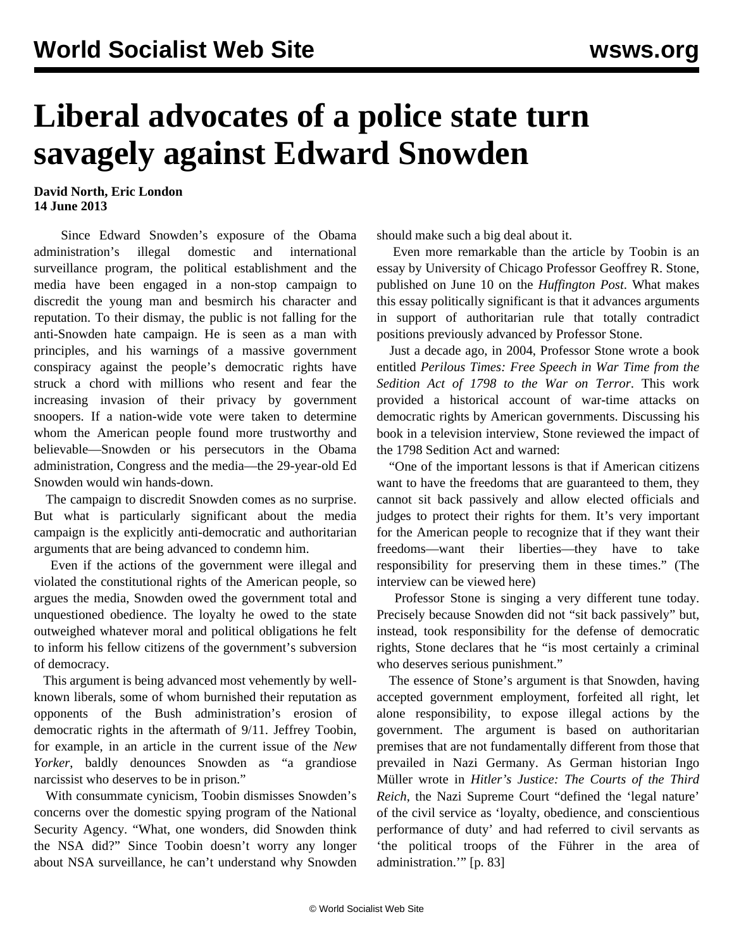## **Liberal advocates of a police state turn savagely against Edward Snowden**

## **David North, Eric London 14 June 2013**

 Since Edward Snowden's exposure of the Obama administration's illegal domestic and international surveillance program, the political establishment and the media have been engaged in a non-stop campaign to discredit the young man and besmirch his character and reputation. To their dismay, the public is not falling for the anti-Snowden hate campaign. He is seen as a man with principles, and his warnings of a massive government conspiracy against the people's democratic rights have struck a chord with millions who resent and fear the increasing invasion of their privacy by government snoopers. If a nation-wide vote were taken to determine whom the American people found more trustworthy and believable—Snowden or his persecutors in the Obama administration, Congress and the media—the 29-year-old Ed Snowden would win hands-down.

 The campaign to discredit Snowden comes as no surprise. But what is particularly significant about the media campaign is the explicitly anti-democratic and authoritarian arguments that are being advanced to condemn him.

 Even if the actions of the government were illegal and violated the constitutional rights of the American people, so argues the media, Snowden owed the government total and unquestioned obedience. The loyalty he owed to the state outweighed whatever moral and political obligations he felt to inform his fellow citizens of the government's subversion of democracy.

 This argument is being advanced most vehemently by wellknown liberals, some of whom burnished their reputation as opponents of the Bush administration's erosion of democratic rights in the aftermath of 9/11. Jeffrey Toobin, for example, in an article in the current issue of the *New Yorker*, baldly denounces Snowden as "a grandiose narcissist who deserves to be in prison."

 With consummate cynicism, Toobin dismisses Snowden's concerns over the domestic spying program of the National Security Agency. "What, one wonders, did Snowden think the NSA did?" Since Toobin doesn't worry any longer about NSA surveillance, he can't understand why Snowden should make such a big deal about it.

 Even more remarkable than the article by Toobin is an essay by University of Chicago Professor Geoffrey R. Stone, published on June 10 on the *Huffington Post*. What makes this essay politically significant is that it advances arguments in support of authoritarian rule that totally contradict positions previously advanced by Professor Stone.

 Just a decade ago, in 2004, Professor Stone wrote a book entitled *Perilous Times: Free Speech in War Time from the Sedition Act of 1798 to the War on Terror*. This work provided a historical account of war-time attacks on democratic rights by American governments. Discussing his book in a television interview, Stone reviewed the impact of the 1798 Sedition Act and warned:

 "One of the important lessons is that if American citizens want to have the freedoms that are guaranteed to them, they cannot sit back passively and allow elected officials and judges to protect their rights for them. It's very important for the American people to recognize that if they want their freedoms—want their liberties—they have to take responsibility for preserving them in these times." (The interview can be viewed [here](http://www.youtube.com/watch?v=7nd-H2-0raY))

 Professor Stone is singing a very different tune today. Precisely because Snowden did not "sit back passively" but, instead, took responsibility for the defense of democratic rights, Stone declares that he "is most certainly a criminal who deserves serious punishment."

 The essence of Stone's argument is that Snowden, having accepted government employment, forfeited all right, let alone responsibility, to expose illegal actions by the government. The argument is based on authoritarian premises that are not fundamentally different from those that prevailed in Nazi Germany. As German historian Ingo Müller wrote in *Hitler's Justice: The Courts of the Third Reich*, the Nazi Supreme Court "defined the 'legal nature' of the civil service as 'loyalty, obedience, and conscientious performance of duty' and had referred to civil servants as 'the political troops of the Führer in the area of administration.'" [p. 83]